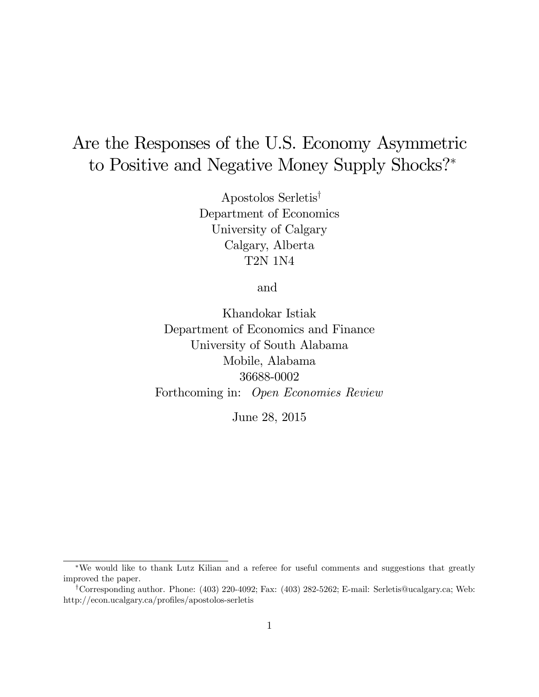# Are the Responses of the U.S. Economy Asymmetric to Positive and Negative Money Supply Shocks?

Apostolos Serletis<sup>†</sup> Department of Economics University of Calgary Calgary, Alberta T2N 1N4

and

Khandokar Istiak Department of Economics and Finance University of South Alabama Mobile, Alabama 36688-0002 Forthcoming in: Open Economies Review

June 28, 2015

We would like to thank Lutz Kilian and a referee for useful comments and suggestions that greatly improved the paper.

<sup>&</sup>lt;sup>†</sup>Corresponding author. Phone:  $(403)$  220-4092; Fax:  $(403)$  282-5262; E-mail: Serletis@ucalgary.ca; Web:  ${\rm http://econ.ucalgary.ca/profiles/apostolos-serletis}$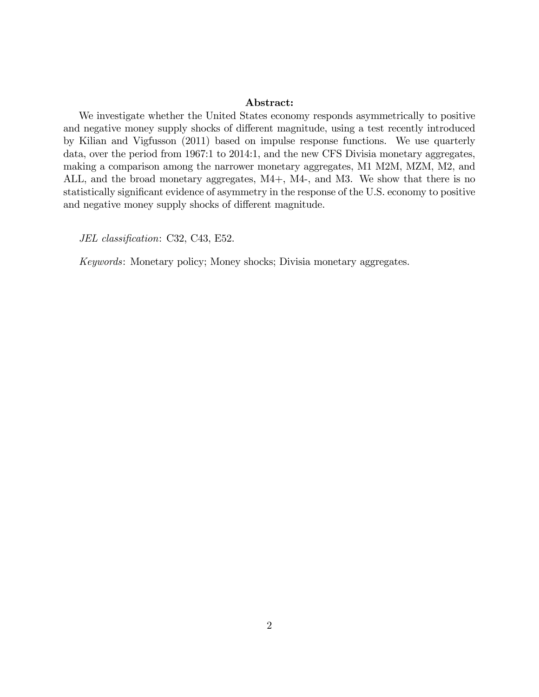#### Abstract:

We investigate whether the United States economy responds asymmetrically to positive and negative money supply shocks of different magnitude, using a test recently introduced by Kilian and Vigfusson (2011) based on impulse response functions. We use quarterly data, over the period from 1967:1 to 2014:1, and the new CFS Divisia monetary aggregates, making a comparison among the narrower monetary aggregates, M1 M2M, MZM, M2, and ALL, and the broad monetary aggregates, M4+, M4-, and M3. We show that there is no statistically significant evidence of asymmetry in the response of the U.S. economy to positive and negative money supply shocks of different magnitude.

JEL classification: C32, C43, E52.

Keywords: Monetary policy; Money shocks; Divisia monetary aggregates.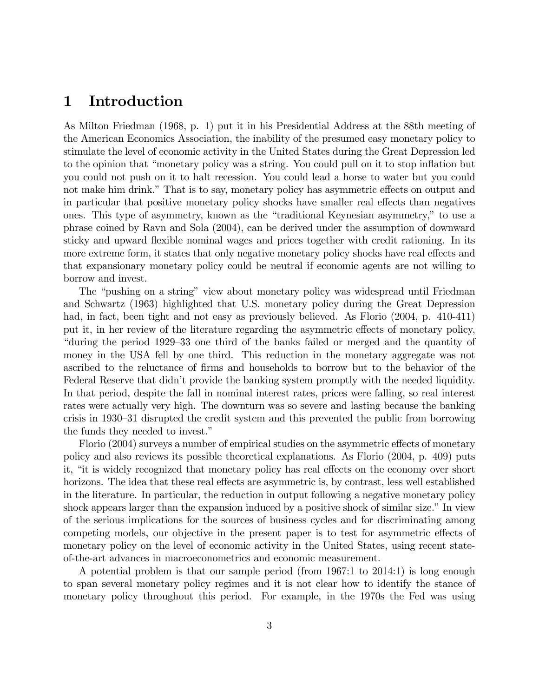## 1 Introduction

As Milton Friedman (1968, p. 1) put it in his Presidential Address at the 88th meeting of the American Economics Association, the inability of the presumed easy monetary policy to stimulate the level of economic activity in the United States during the Great Depression led to the opinion that "monetary policy was a string. You could pull on it to stop inflation but you could not push on it to halt recession. You could lead a horse to water but you could not make him drink." That is to say, monetary policy has asymmetric effects on output and in particular that positive monetary policy shocks have smaller real effects than negatives ones. This type of asymmetry, known as the "traditional Keynesian asymmetry," to use a phrase coined by Ravn and Sola (2004), can be derived under the assumption of downward sticky and upward flexible nominal wages and prices together with credit rationing. In its more extreme form, it states that only negative monetary policy shocks have real effects and that expansionary monetary policy could be neutral if economic agents are not willing to borrow and invest.

The "pushing on a string" view about monetary policy was widespread until Friedman and Schwartz (1963) highlighted that U.S. monetary policy during the Great Depression had, in fact, been tight and not easy as previously believed. As Florio (2004, p. 410-411) put it, in her review of the literature regarding the asymmetric effects of monetary policy, during the period 1929–33 one third of the banks failed or merged and the quantity of money in the USA fell by one third. This reduction in the monetary aggregate was not ascribed to the reluctance of Örms and households to borrow but to the behavior of the Federal Reserve that didn't provide the banking system promptly with the needed liquidity. In that period, despite the fall in nominal interest rates, prices were falling, so real interest rates were actually very high. The downturn was so severe and lasting because the banking crisis in 1930–31 disrupted the credit system and this prevented the public from borrowing the funds they needed to invest."

Florio (2004) surveys a number of empirical studies on the asymmetric effects of monetary policy and also reviews its possible theoretical explanations. As Florio (2004, p. 409) puts it, "it is widely recognized that monetary policy has real effects on the economy over short horizons. The idea that these real effects are asymmetric is, by contrast, less well established in the literature. In particular, the reduction in output following a negative monetary policy shock appears larger than the expansion induced by a positive shock of similar size." In view of the serious implications for the sources of business cycles and for discriminating among competing models, our objective in the present paper is to test for asymmetric effects of monetary policy on the level of economic activity in the United States, using recent stateof-the-art advances in macroeconometrics and economic measurement.

A potential problem is that our sample period (from 1967:1 to 2014:1) is long enough to span several monetary policy regimes and it is not clear how to identify the stance of monetary policy throughout this period. For example, in the 1970s the Fed was using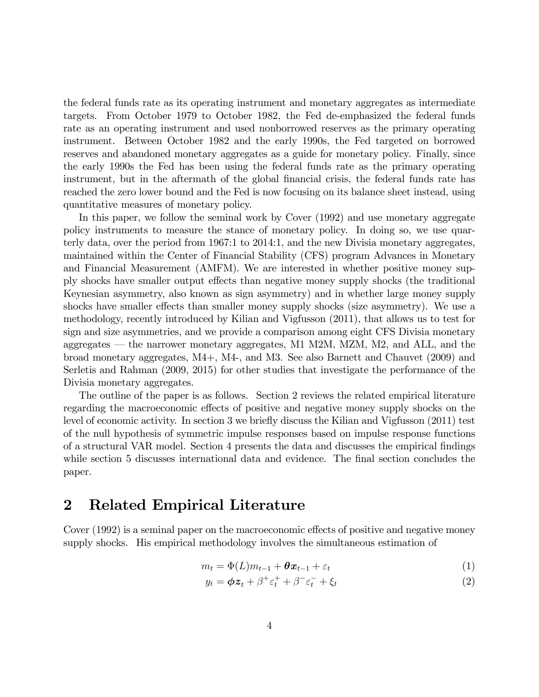the federal funds rate as its operating instrument and monetary aggregates as intermediate targets. From October 1979 to October 1982, the Fed de-emphasized the federal funds rate as an operating instrument and used nonborrowed reserves as the primary operating instrument. Between October 1982 and the early 1990s, the Fed targeted on borrowed reserves and abandoned monetary aggregates as a guide for monetary policy. Finally, since the early 1990s the Fed has been using the federal funds rate as the primary operating instrument, but in the aftermath of the global financial crisis, the federal funds rate has reached the zero lower bound and the Fed is now focusing on its balance sheet instead, using quantitative measures of monetary policy.

In this paper, we follow the seminal work by Cover (1992) and use monetary aggregate policy instruments to measure the stance of monetary policy. In doing so, we use quarterly data, over the period from 1967:1 to 2014:1, and the new Divisia monetary aggregates, maintained within the Center of Financial Stability (CFS) program Advances in Monetary and Financial Measurement (AMFM). We are interested in whether positive money supply shocks have smaller output effects than negative money supply shocks (the traditional Keynesian asymmetry, also known as sign asymmetry) and in whether large money supply shocks have smaller effects than smaller money supply shocks (size asymmetry). We use a methodology, recently introduced by Kilian and Vigfusson (2011), that allows us to test for sign and size asymmetries, and we provide a comparison among eight CFS Divisia monetary aggregates  $-$  the narrower monetary aggregates, M1 M2M, MZM, M2, and ALL, and the broad monetary aggregates, M4+, M4-, and M3. See also Barnett and Chauvet (2009) and Serletis and Rahman (2009, 2015) for other studies that investigate the performance of the Divisia monetary aggregates.

The outline of the paper is as follows. Section 2 reviews the related empirical literature regarding the macroeconomic effects of positive and negative money supply shocks on the level of economic activity. In section 3 we briefly discuss the Kilian and Vigfusson (2011) test of the null hypothesis of symmetric impulse responses based on impulse response functions of a structural VAR model. Section 4 presents the data and discusses the empirical Öndings while section 5 discusses international data and evidence. The final section concludes the paper.

# 2 Related Empirical Literature

Cover (1992) is a seminal paper on the macroeconomic effects of positive and negative money supply shocks. His empirical methodology involves the simultaneous estimation of

$$
m_t = \Phi(L)m_{t-1} + \theta x_{t-1} + \varepsilon_t
$$
\n(1)

$$
y_t = \phi z_t + \beta^+ \varepsilon_t^+ + \beta^- \varepsilon_t^- + \xi_t \tag{2}
$$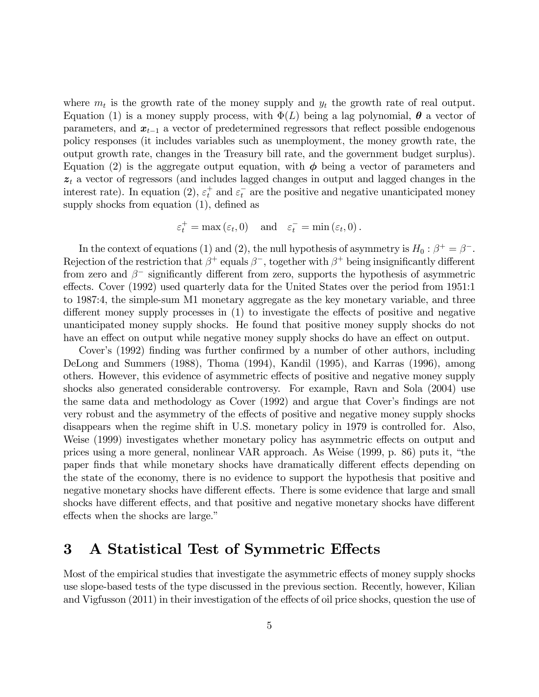where  $m_t$  is the growth rate of the money supply and  $y_t$  the growth rate of real output. Equation (1) is a money supply process, with  $\Phi(L)$  being a lag polynomial,  $\theta$  a vector of parameters, and  $x_{t-1}$  a vector of predetermined regressors that reflect possible endogenous policy responses (it includes variables such as unemployment, the money growth rate, the output growth rate, changes in the Treasury bill rate, and the government budget surplus). Equation (2) is the aggregate output equation, with  $\phi$  being a vector of parameters and  $z_t$  a vector of regressors (and includes lagged changes in output and lagged changes in the interest rate). In equation (2),  $\varepsilon_t^+$  and  $\varepsilon_t^-$  are the positive and negative unanticipated money supply shocks from equation  $(1)$ , defined as

$$
\varepsilon_t^+ = \max(\varepsilon_t, 0) \quad \text{and} \quad \varepsilon_t^- = \min(\varepsilon_t, 0).
$$

In the context of equations (1) and (2), the null hypothesis of asymmetry is  $H_0: \beta^+ = \beta^-$ . Rejection of the restriction that  $\beta^+$  equals  $\beta^-$ , together with  $\beta^+$  being insignificantly different from zero and  $\beta^-$  significantly different from zero, supports the hypothesis of asymmetric effects. Cover (1992) used quarterly data for the United States over the period from 1951:1 to 1987:4, the simple-sum M1 monetary aggregate as the key monetary variable, and three different money supply processes in  $(1)$  to investigate the effects of positive and negative unanticipated money supply shocks. He found that positive money supply shocks do not have an effect on output while negative money supply shocks do have an effect on output.

Cover's (1992) finding was further confirmed by a number of other authors, including DeLong and Summers (1988), Thoma (1994), Kandil (1995), and Karras (1996), among others. However, this evidence of asymmetric effects of positive and negative money supply shocks also generated considerable controversy. For example, Ravn and Sola (2004) use the same data and methodology as Cover (1992) and argue that Cover's findings are not very robust and the asymmetry of the effects of positive and negative money supply shocks disappears when the regime shift in U.S. monetary policy in 1979 is controlled for. Also, Weise (1999) investigates whether monetary policy has asymmetric effects on output and prices using a more general, nonlinear VAR approach. As Weise (1999, p. 86) puts it, "the paper finds that while monetary shocks have dramatically different effects depending on the state of the economy, there is no evidence to support the hypothesis that positive and negative monetary shocks have different effects. There is some evidence that large and small shocks have different effects, and that positive and negative monetary shocks have different effects when the shocks are large."

## 3 A Statistical Test of Symmetric Effects

Most of the empirical studies that investigate the asymmetric effects of money supply shocks use slope-based tests of the type discussed in the previous section. Recently, however, Kilian and Vigfusson  $(2011)$  in their investigation of the effects of oil price shocks, question the use of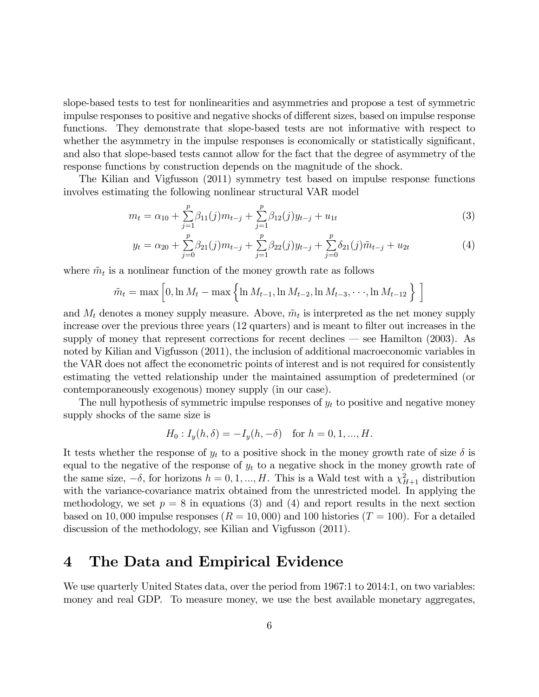slope-based tests to test for nonlinearities and asymmetries and propose a test of symmetric impulse responses to positive and negative shocks of different sizes, based on impulse response functions. They demonstrate that slope-based tests are not informative with respect to whether the asymmetry in the impulse responses is economically or statistically significant, and also that slope-based tests cannot allow for the fact that the degree of asymmetry of the response functions by construction depends on the magnitude of the shock.

The Kilian and Vigfusson (2011) symmetry test based on impulse response functions involves estimating the following nonlinear structural VAR model

$$
m_t = \alpha_{10} + \sum_{j=1}^p \beta_{11}(j) m_{t-j} + \sum_{j=1}^p \beta_{12}(j) y_{t-j} + u_{1t}
$$
\n(3)

$$
y_t = \alpha_{20} + \sum_{j=0}^p \beta_{21}(j)m_{t-j} + \sum_{j=1}^p \beta_{22}(j)y_{t-j} + \sum_{j=0}^p \delta_{21}(j)\tilde{m}_{t-j} + u_{2t}
$$
 (4)

where  $\tilde{m}_t$  is a nonlinear function of the money growth rate as follows

$$
\tilde{m}_t = \max\left[0, \ln M_t - \max\left\{\ln M_{t-1}, \ln M_{t-2}, \ln M_{t-3}, \cdots, \ln M_{t-12}\right\}\right]
$$

and  $M_t$  denotes a money supply measure. Above,  $\tilde{m}_t$  is interpreted as the net money supply increase over the previous three years (12 quarters) and is meant to filter out increases in the supply of money that represent corrections for recent declines  $-$  see Hamilton (2003). As noted by Kilian and Vigfusson (2011), the inclusion of additional macroeconomic variables in the VAR does not affect the econometric points of interest and is not required for consistently estimating the vetted relationship under the maintained assumption of predetermined (or contemporaneously exogenous) money supply (in our case).

The null hypothesis of symmetric impulse responses of  $y_t$  to positive and negative money supply shocks of the same size is

$$
H_0: I_y(h, \delta) = -I_y(h, -\delta) \text{ for } h = 0, 1, ..., H.
$$

It tests whether the response of  $y_t$  to a positive shock in the money growth rate of size  $\delta$  is equal to the negative of the response of  $y_t$  to a negative shock in the money growth rate of the same size,  $-\delta$ , for horizons  $h = 0, 1, ..., H$ . This is a Wald test with a  $\chi^2_{H+1}$  distribution with the variance-covariance matrix obtained from the unrestricted model. In applying the methodology, we set  $p = 8$  in equations (3) and (4) and report results in the next section based on 10,000 impulse responses ( $R = 10,000$ ) and 100 histories ( $T = 100$ ). For a detailed discussion of the methodology, see Kilian and Vigfusson (2011).

#### 4 The Data and Empirical Evidence

We use quarterly United States data, over the period from 1967:1 to 2014:1, on two variables: money and real GDP. To measure money, we use the best available monetary aggregates,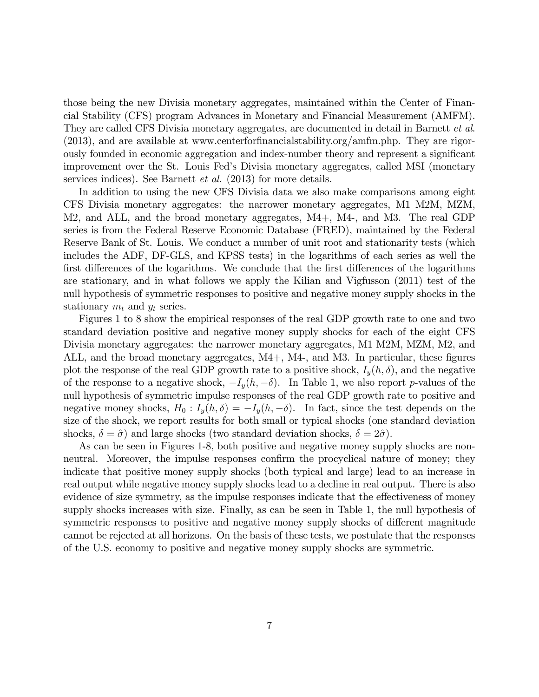those being the new Divisia monetary aggregates, maintained within the Center of Financial Stability (CFS) program Advances in Monetary and Financial Measurement (AMFM). They are called CFS Divisia monetary aggregates, are documented in detail in Barnett et al.  $(2013)$ , and are available at www.centerformancialstability.org/amfm.php. They are rigorously founded in economic aggregation and index-number theory and represent a significant improvement over the St. Louis Fedís Divisia monetary aggregates, called MSI (monetary services indices). See Barnett *et al.* (2013) for more details.

In addition to using the new CFS Divisia data we also make comparisons among eight CFS Divisia monetary aggregates: the narrower monetary aggregates, M1 M2M, MZM, M2, and ALL, and the broad monetary aggregates, M4+, M4-, and M3. The real GDP series is from the Federal Reserve Economic Database (FRED), maintained by the Federal Reserve Bank of St. Louis. We conduct a number of unit root and stationarity tests (which includes the ADF, DF-GLS, and KPSS tests) in the logarithms of each series as well the first differences of the logarithms. We conclude that the first differences of the logarithms are stationary, and in what follows we apply the Kilian and Vigfusson (2011) test of the null hypothesis of symmetric responses to positive and negative money supply shocks in the stationary  $m_t$  and  $y_t$  series.

Figures 1 to 8 show the empirical responses of the real GDP growth rate to one and two standard deviation positive and negative money supply shocks for each of the eight CFS Divisia monetary aggregates: the narrower monetary aggregates, M1 M2M, MZM, M2, and ALL, and the broad monetary aggregates, M4+, M4-, and M3. In particular, these figures plot the response of the real GDP growth rate to a positive shock,  $I_y(h, \delta)$ , and the negative of the response to a negative shock,  $-I_y(h, -\delta)$ . In Table 1, we also report p-values of the null hypothesis of symmetric impulse responses of the real GDP growth rate to positive and negative money shocks,  $H_0: I_y(h, \delta) = -I_y(h, -\delta)$ . In fact, since the test depends on the size of the shock, we report results for both small or typical shocks (one standard deviation shocks,  $\delta = \hat{\sigma}$ ) and large shocks (two standard deviation shocks,  $\delta = 2\hat{\sigma}$ ).

As can be seen in Figures 1-8, both positive and negative money supply shocks are nonneutral. Moreover, the impulse responses confirm the procyclical nature of money; they indicate that positive money supply shocks (both typical and large) lead to an increase in real output while negative money supply shocks lead to a decline in real output. There is also evidence of size symmetry, as the impulse responses indicate that the effectiveness of money supply shocks increases with size. Finally, as can be seen in Table 1, the null hypothesis of symmetric responses to positive and negative money supply shocks of different magnitude cannot be rejected at all horizons. On the basis of these tests, we postulate that the responses of the U.S. economy to positive and negative money supply shocks are symmetric.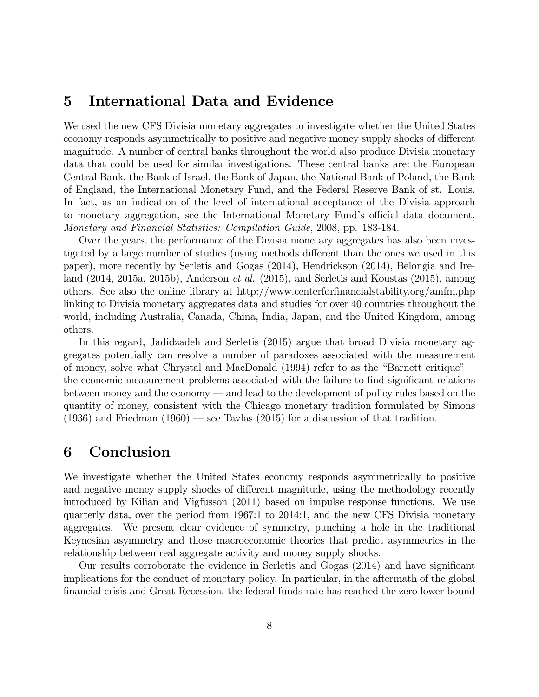### 5 International Data and Evidence

We used the new CFS Divisia monetary aggregates to investigate whether the United States economy responds asymmetrically to positive and negative money supply shocks of different magnitude. A number of central banks throughout the world also produce Divisia monetary data that could be used for similar investigations. These central banks are: the European Central Bank, the Bank of Israel, the Bank of Japan, the National Bank of Poland, the Bank of England, the International Monetary Fund, and the Federal Reserve Bank of st. Louis. In fact, as an indication of the level of international acceptance of the Divisia approach to monetary aggregation, see the International Monetary Fund's official data document, Monetary and Financial Statistics: Compilation Guide, 2008, pp. 183-184.

Over the years, the performance of the Divisia monetary aggregates has also been investigated by a large number of studies (using methods different than the ones we used in this paper), more recently by Serletis and Gogas (2014), Hendrickson (2014), Belongia and Ireland (2014, 2015a, 2015b), Anderson et al. (2015), and Serletis and Koustas (2015), among others. See also the online library at http://www.centerformancialstability.org/amfm.php linking to Divisia monetary aggregates data and studies for over 40 countries throughout the world, including Australia, Canada, China, India, Japan, and the United Kingdom, among others.

In this regard, Jadidzadeh and Serletis (2015) argue that broad Divisia monetary aggregates potentially can resolve a number of paradoxes associated with the measurement of money, solve what Chrystal and MacDonald (1994) refer to as the "Barnett critique" the economic measurement problems associated with the failure to find significant relations between money and the economy  $\sim$  and lead to the development of policy rules based on the quantity of money, consistent with the Chicago monetary tradition formulated by Simons  $(1936)$  and Friedman  $(1960)$  — see Tavlas  $(2015)$  for a discussion of that tradition.

#### 6 Conclusion

We investigate whether the United States economy responds asymmetrically to positive and negative money supply shocks of different magnitude, using the methodology recently introduced by Kilian and Vigfusson (2011) based on impulse response functions. We use quarterly data, over the period from 1967:1 to 2014:1, and the new CFS Divisia monetary aggregates. We present clear evidence of symmetry, punching a hole in the traditional Keynesian asymmetry and those macroeconomic theories that predict asymmetries in the relationship between real aggregate activity and money supply shocks.

Our results corroborate the evidence in Serletis and Gogas (2014) and have significant implications for the conduct of monetary policy. In particular, in the aftermath of the global Önancial crisis and Great Recession, the federal funds rate has reached the zero lower bound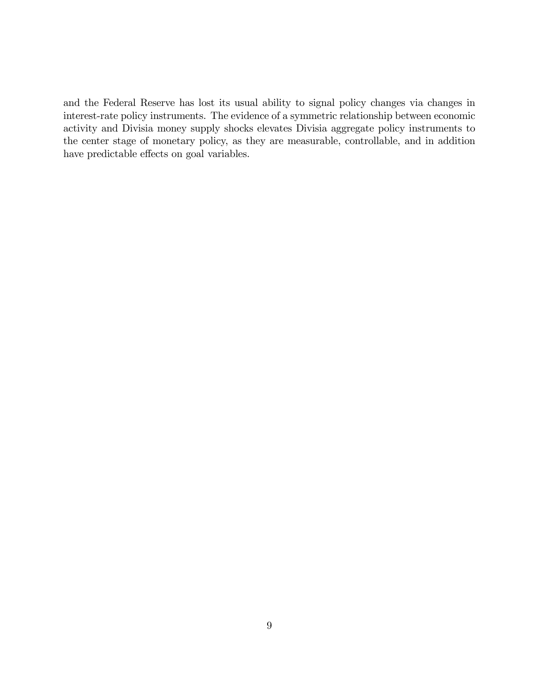and the Federal Reserve has lost its usual ability to signal policy changes via changes in interest-rate policy instruments. The evidence of a symmetric relationship between economic activity and Divisia money supply shocks elevates Divisia aggregate policy instruments to the center stage of monetary policy, as they are measurable, controllable, and in addition have predictable effects on goal variables.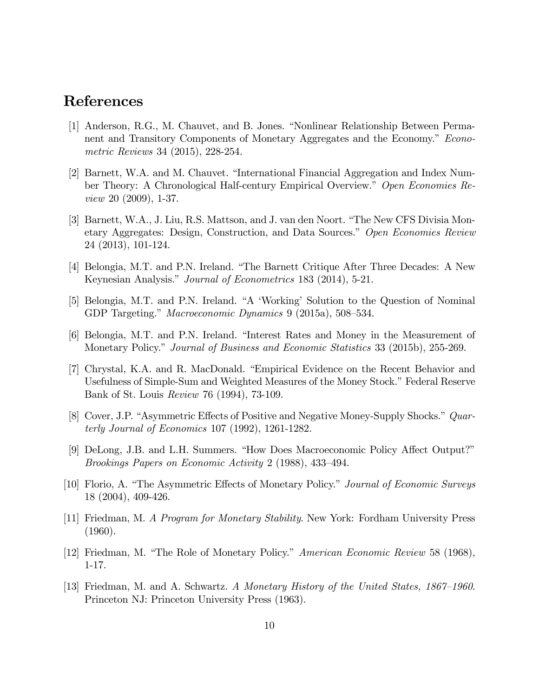### References

- [1] Anderson, R.G., M. Chauvet, and B. Jones. "Nonlinear Relationship Between Permanent and Transitory Components of Monetary Aggregates and the Economy.<sup>n</sup> Econometric Reviews 34 (2015), 228-254.
- [2] Barnett, W.A. and M. Chauvet. "International Financial Aggregation and Index Number Theory: A Chronological Half-century Empirical Overview.<sup>n</sup> Open Economies Review 20 (2009), 1-37.
- [3] Barnett, W.A., J. Liu, R.S. Mattson, and J. van den Noort. "The New CFS Divisia Monetary Aggregates: Design, Construction, and Data Sources.î Open Economies Review 24 (2013), 101-124.
- [4] Belongia, M.T. and P.N. Ireland. "The Barnett Critique After Three Decades: A New Keynesian Analysis." Journal of Econometrics 183 (2014), 5-21.
- [5] Belongia, M.T. and P.N. Ireland. "A 'Working' Solution to the Question of Nominal GDP Targeting." Macroeconomic Dynamics  $9$  (2015a), 508–534.
- [6] Belongia, M.T. and P.N. Ireland. "Interest Rates and Money in the Measurement of Monetary Policy." Journal of Business and Economic Statistics 33 (2015b), 255-269.
- [7] Chrystal, K.A. and R. MacDonald. "Empirical Evidence on the Recent Behavior and Usefulness of Simple-Sum and Weighted Measures of the Money Stock." Federal Reserve Bank of St. Louis Review 76 (1994), 73-109.
- [8] Cover, J.P. "Asymmetric Effects of Positive and Negative Money-Supply Shocks." Quarterly Journal of Economics 107 (1992), 1261-1282.
- [9] DeLong, J.B. and L.H. Summers. "How Does Macroeconomic Policy Affect Output?" Brookings Papers on Economic Activity 2 (1988), 433-494.
- [10] Florio, A. "The Asymmetric Effects of Monetary Policy." Journal of Economic Surveys 18 (2004), 409-426.
- [11] Friedman, M. A Program for Monetary Stability. New York: Fordham University Press (1960).
- [12] Friedman, M. "The Role of Monetary Policy." American Economic Review 58 (1968), 1-17.
- [13] Friedman, M. and A. Schwartz. A Monetary History of the United States,  $1867-1960$ . Princeton NJ: Princeton University Press (1963).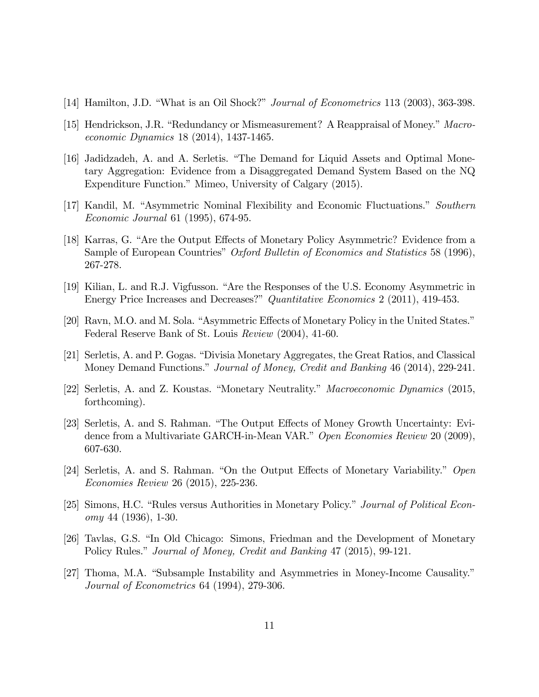- [14] Hamilton, J.D. "What is an Oil Shock?" *Journal of Econometrics* 113 (2003), 363-398.
- [15] Hendrickson, J.R. "Redundancy or Mismeasurement? A Reappraisal of Money."  $Macro$ economic Dynamics 18 (2014), 1437-1465.
- [16] Jadidzadeh, A. and A. Serletis. "The Demand for Liquid Assets and Optimal Monetary Aggregation: Evidence from a Disaggregated Demand System Based on the NQ Expenditure Function." Mimeo, University of Calgary (2015).
- [17] Kandil, M. "Asymmetric Nominal Flexibility and Economic Fluctuations." Southern Economic Journal 61 (1995), 674-95.
- [18] Karras, G. "Are the Output Effects of Monetary Policy Asymmetric? Evidence from a Sample of European Countries" Oxford Bulletin of Economics and Statistics 58 (1996), 267-278.
- [19] Kilian, L. and R.J. Vigfusson. "Are the Responses of the U.S. Economy Asymmetric in Energy Price Increases and Decreases?" Quantitative Economics 2 (2011), 419-453.
- [20] Ravn, M.O. and M. Sola. "Asymmetric Effects of Monetary Policy in the United States." Federal Reserve Bank of St. Louis Review (2004), 41-60.
- [21] Serletis, A. and P. Gogas. "Divisia Monetary Aggregates, the Great Ratios, and Classical Money Demand Functions." Journal of Money, Credit and Banking 46 (2014), 229-241.
- [22] Serletis, A. and Z. Koustas. "Monetary Neutrality." *Macroeconomic Dynamics* (2015, forthcoming).
- [23] Serletis, A. and S. Rahman. "The Output Effects of Money Growth Uncertainty: Evidence from a Multivariate GARCH-in-Mean VAR." Open Economies Review 20 (2009), 607-630.
- [24] Serletis, A. and S. Rahman. "On the Output Effects of Monetary Variability." Open Economies Review 26 (2015), 225-236.
- [25] Simons, H.C. "Rules versus Authorities in Monetary Policy." Journal of Political Economy 44 (1936), 1-30.
- [26] Tavlas, G.S. "In Old Chicago: Simons, Friedman and the Development of Monetary Policy Rules." Journal of Money, Credit and Banking 47 (2015), 99-121.
- [27] Thoma, M.A. "Subsample Instability and Asymmetries in Money-Income Causality." Journal of Econometrics 64 (1994), 279-306.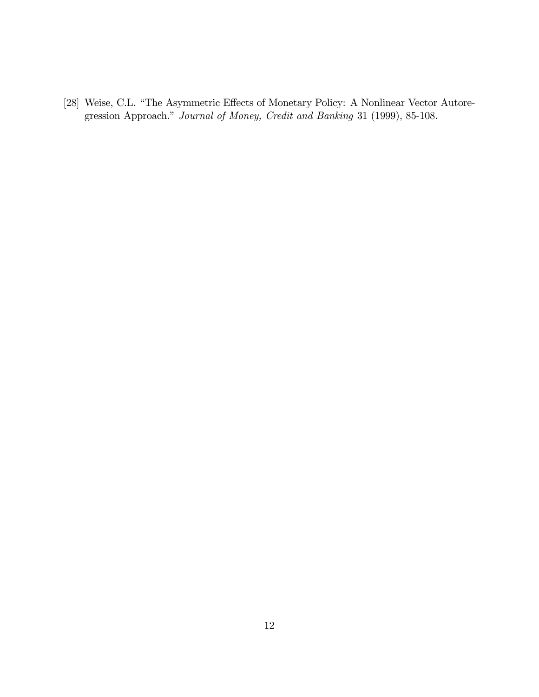[28] Weise, C.L. "The Asymmetric Effects of Monetary Policy: A Nonlinear Vector Autoregression Approach." Journal of Money, Credit and Banking 31 (1999), 85-108.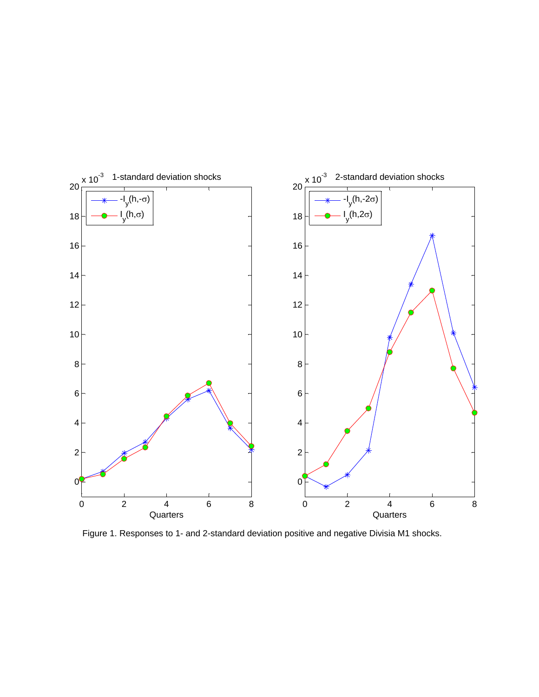

Figure 1. Responses to 1- and 2-standard deviation positive and negative Divisia M1 shocks.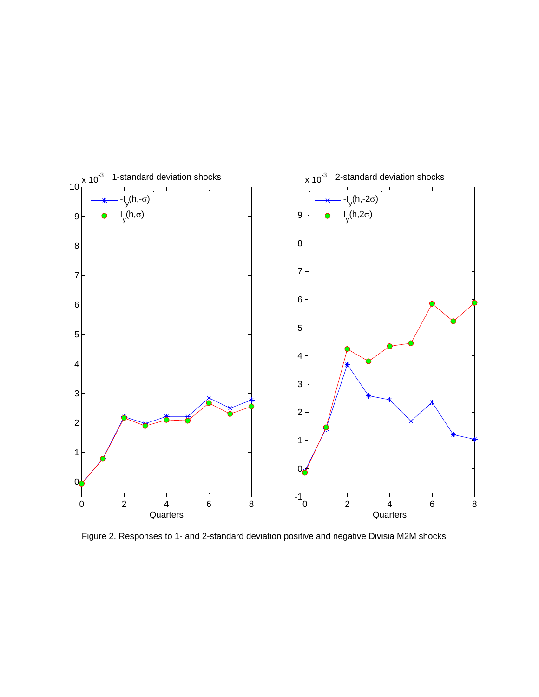

Figure 2. Responses to 1- and 2-standard deviation positive and negative Divisia M2M shocks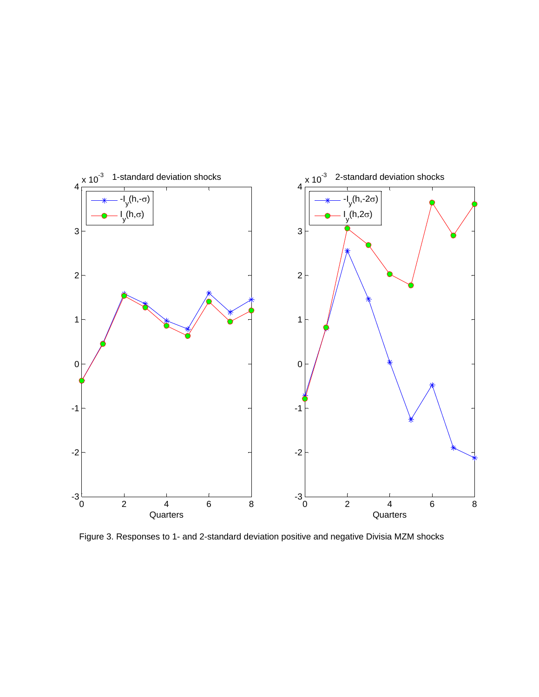

Figure 3. Responses to 1- and 2-standard deviation positive and negative Divisia MZM shocks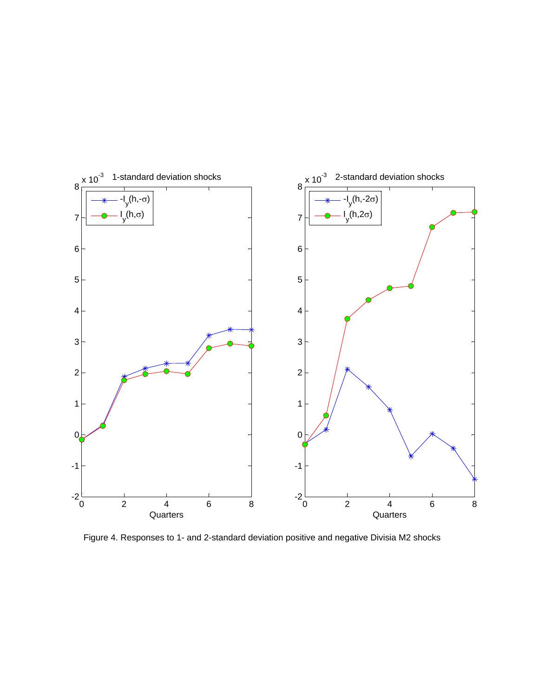

Figure 4. Responses to 1- and 2-standard deviation positive and negative Divisia M2 shocks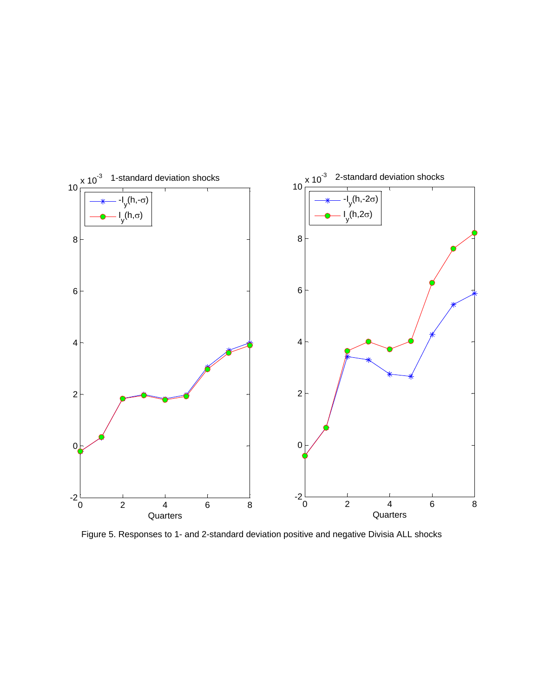

Figure 5. Responses to 1- and 2-standard deviation positive and negative Divisia ALL shocks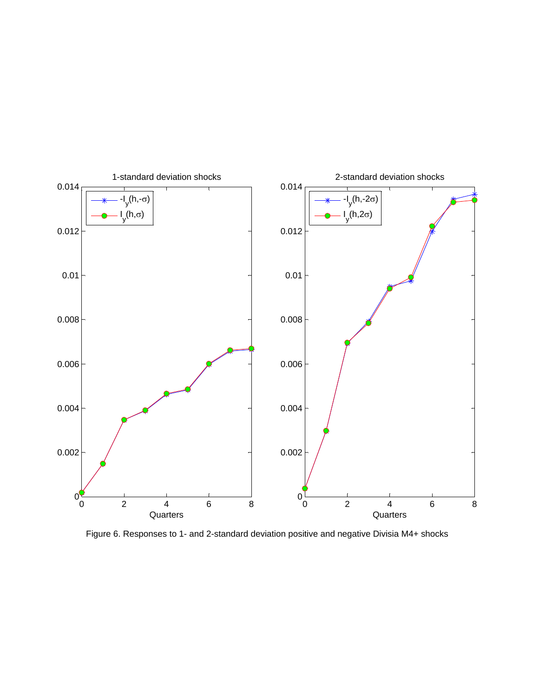

Figure 6. Responses to 1- and 2-standard deviation positive and negative Divisia M4+ shocks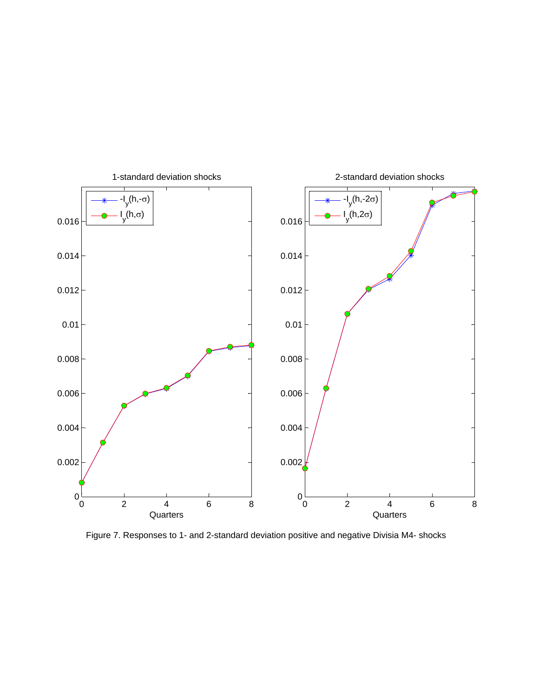

Figure 7. Responses to 1- and 2-standard deviation positive and negative Divisia M4- shocks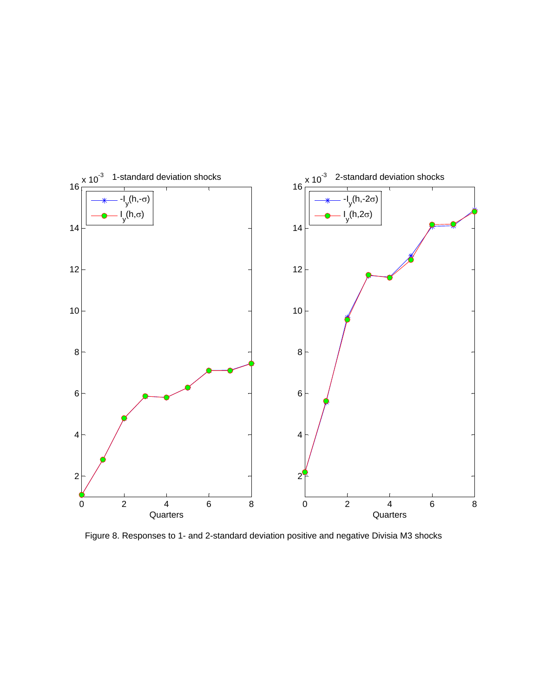

Figure 8. Responses to 1- and 2-standard deviation positive and negative Divisia M3 shocks